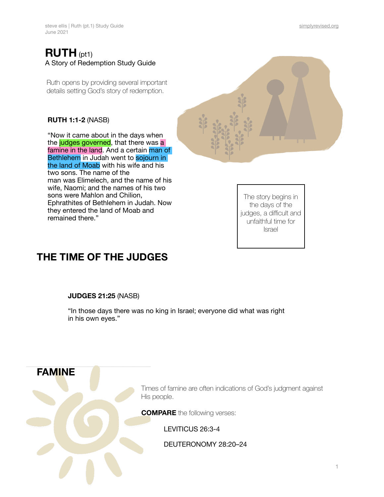### **RUTH** (pt1) A Story of Redemption Study Guide

Ruth opens by providing several important details setting God's story of redemption.

#### **RUTH 1:1-2** (NASB)

"Now it came about in the days when the judges governed, that there was a famine in the land. And a certain man of Bethlehem in Judah went to sojourn in the land of Moab with his wife and his two sons. The name of the man was Elimelech, and the name of his wife, Naomi; and the names of his two sons were Mahlon and Chilion, Ephrathites of Bethlehem in Judah. Now they entered the land of Moab and remained there."

The story begins in the days of the judges, a difficult and unfaithful time for Israel

## **THE TIME OF THE JUDGES**

#### **JUDGES 21:25** (NASB)

"In those days there was no king in Israel; everyone did what was right in his own eyes."